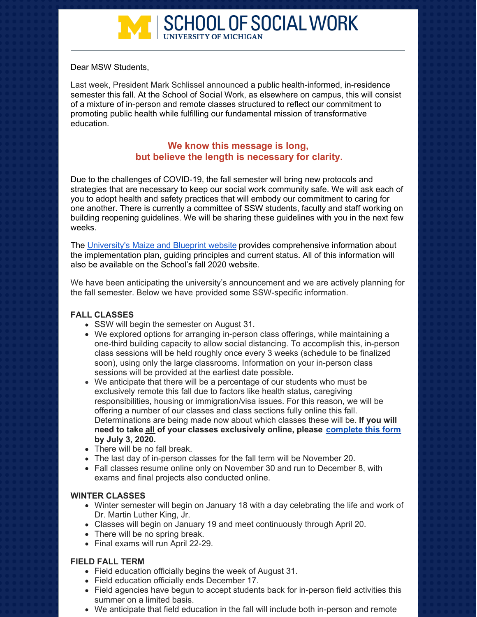

Dear MSW Students,

Last week, President Mark Schlissel announced a public health-informed, in-residence semester this fall. At the School of Social Work, as elsewhere on campus, this will consist of a mixture of in-person and remote classes structured to reflect our commitment to promoting public health while fulfilling our fundamental mission of transformative education.

# **We know this message is long, but believe the length is necessary for clarity.**

Due to the challenges of COVID-19, the fall semester will bring new protocols and strategies that are necessary to keep our social work community safe. We will ask each of you to adopt health and safety practices that will embody our commitment to caring for one another. There is currently a committee of SSW students, faculty and staff working on building reopening guidelines. We will be sharing these guidelines with you in the next few weeks.

The [University's](https://campusblueprint.umich.edu/) Maize and Blueprint website provides comprehensive information about the implementation plan, guiding principles and current status. All of this information will also be available on the School's fall 2020 website.

We have been anticipating the university's announcement and we are actively planning for the fall semester. Below we have provided some SSW-specific information.

### **FALL CLASSES**

- SSW will begin the semester on August 31.
- We explored options for arranging in-person class offerings, while maintaining a one-third building capacity to allow social distancing. To accomplish this, in-person class sessions will be held roughly once every 3 weeks (schedule to be finalized soon), using only the large classrooms. Information on your in-person class sessions will be provided at the earliest date possible.
- We anticipate that there will be a percentage of our students who must be exclusively remote this fall due to factors like health status, caregiving responsibilities, housing or immigration/visa issues. For this reason, we will be offering a number of our classes and class sections fully online this fall. Determinations are being made now about which classes these will be. **If you will need to take all of your classes exclusively online, please [complete](https://docs.google.com/forms/d/e/1FAIpQLSeMlMwHN9mmUtrQQAm2ic0Y1kedyoqpUy1YH_YlI6gnsVjIWQ/viewform?vc=0&c=0&w=1) this form by July 3, 2020.**
- There will be no fall break.
- The last day of in-person classes for the fall term will be November 20.
- Fall classes resume online only on November 30 and run to December 8, with exams and final projects also conducted online.

### **WINTER CLASSES**

- Winter semester will begin on January 18 with a day celebrating the life and work of Dr. Martin Luther King, Jr.
- Classes will begin on January 19 and meet continuously through April 20.
- There will be no spring break.
- Final exams will run April 22-29.

### **FIELD FALL TERM**

- Field education officially begins the week of August 31.
- Field education officially ends December 17.
- Field agencies have begun to accept students back for in-person field activities this summer on a limited basis.
- We anticipate that field education in the fall will include both in-person and remote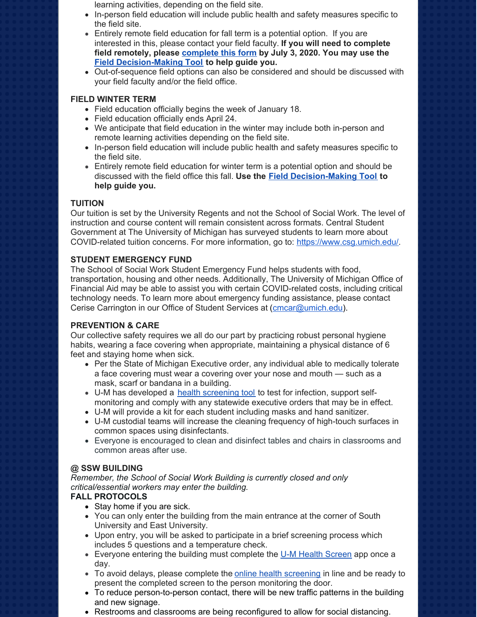- learning activities, depending on the field site.
- In-person field education will include public health and safety measures specific to the field site.
- Entirely remote field education for fall term is a potential option. If you are interested in this, please contact your field faculty. **If you will need to complete field remotely, please [complete](https://docs.google.com/forms/d/e/1FAIpQLSeMlMwHN9mmUtrQQAm2ic0Y1kedyoqpUy1YH_YlI6gnsVjIWQ/viewform?vc=0&c=0&w=1) this form by July 3, 2020. You may use the Field [Decision-Making](https://umich.app.box.com/s/uqeoly0uzzklvhbvewner36u5r6ep72q) Tool to help guide you.**
- Out-of-sequence field options can also be considered and should be discussed with your field faculty and/or the field office.

### **FIELD WINTER TERM**

- Field education officially begins the week of January 18.
- Field education officially ends April 24.
- We anticipate that field education in the winter may include both in-person and remote learning activities depending on the field site.
- In-person field education will include public health and safety measures specific to the field site.
- Entirely remote field education for winter term is a potential option and should be discussed with the field office this fall. **Use the Field [Decision-Making](https://umich.app.box.com/s/uqeoly0uzzklvhbvewner36u5r6ep72q) Tool to help guide you.**

### **TUITION**

Our tuition is set by the University Regents and not the School of Social Work. The level of instruction and course content will remain consistent across formats. Central Student Government at The University of Michigan has surveyed students to learn more about COVID-related tuition concerns. For more information, go to: <https://www.csg.umich.edu/>.

### **STUDENT EMERGENCY FUND**

The School of Social Work Student Emergency Fund helps students with food, transportation, housing and other needs. Additionally, The University of Michigan Office of Financial Aid may be able to assist you with certain COVID-related costs, including critical technology needs. To learn more about emergency funding assistance, please contact Cerise Carrington in our Office of Student Services at [\(cmcar@umich.edu](mailto:cmcar@umich.edu)).

### **PREVENTION & CARE**

Our collective safety requires we all do our part by practicing robust personal hygiene habits, wearing a face covering when appropriate, maintaining a physical distance of 6 feet and staying home when sick.

- Per the State of Michigan Executive order, any individual able to medically tolerate a face covering must wear a covering over your nose and mouth — such as a mask, scarf or bandana in a building.
- U-M has developed a health [screening](https://healthscreen.umich.edu/) too[l](https://healthscreen.umich.edu/) to test for infection, support selfmonitoring and comply with any statewide executive orders that may be in effect.
- U-M will provide a kit for each student including masks and hand sanitizer.
- U-M custodial teams will increase the cleaning frequency of high-touch surfaces in common spaces using disinfectants.
- Everyone is encouraged to clean and disinfect tables and chairs in classrooms and common areas after use.

## **@ SSW BUILDING**

*Remember, the School of Social Work Building is currently closed and only critical/essential workers may enter the building.*

### **FALL PROTOCOLS**

- Stay home if you are sick.
- You can only enter the building from the main entrance at the corner of South University and East University.
- Upon entry, you will be asked to participate in a brief screening process which includes 5 questions and a temperature check.
- **Everyone entering the building must complete the U-M Health [Screen](https://healthscreen.umich.edu/) app once a** day.
- To avoid delays, please complete the online health [screening](https://healthscreen.umich.edu/) in line and be ready to present the completed screen to the person monitoring the door.
- To reduce person-to-person contact, there will be new traffic patterns in the building and new signage.
- Restrooms and classrooms are being reconfigured to allow for social distancing.